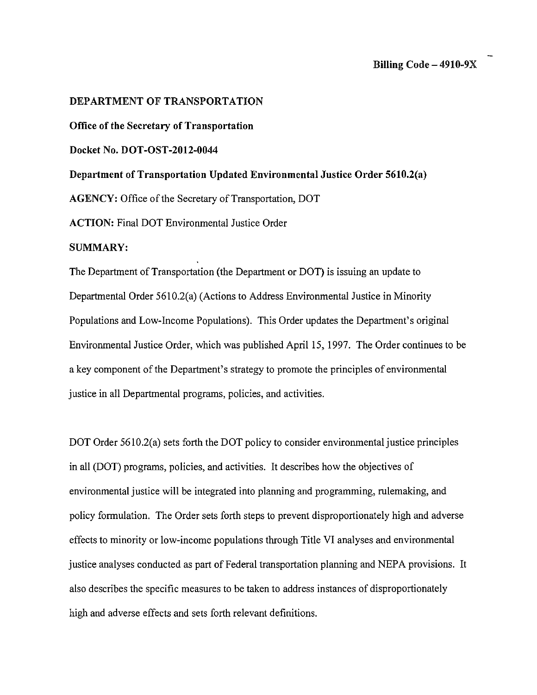### **DEPARTMENT OF TRANSPORTATION**

**Office of the Secretary of Transportation** 

**Docket No. DOT-OST-2012-0044** 

**Department of Transportation Updated Environmental Justice Order 5610.2(a)** 

**AGENCY:** Office of the Secretary of Transportation, DOT

**ACTION:** Final DOT Environmental Justice Order

# **SUMMARY:**

The Department of Transportation (the Department or DOT) is issuing an update to Departmental Order 5610.2(a) (Actions to Address Environmental Justice in Minority Populations and Low-Income Populations). This Order updates the Department's original Environmental Justice Order, which was published April 15, 1997. The Order continues to be a key component of the Department's strategy to promote the principles of environmental justice in all Departmental programs, policies, and activities.

DOT Order 5610.2(a) sets forth the DOT policy to consider environmental justice principles in all (DOT) programs, policies, and activities. It describes how the objectives of environmental justice **will** be integrated into planning and programming, rulemaking, and policy formulation. The Order sets forth steps to prevent disproportionately high and adverse effects to minority or low-income populations through Title VI analyses and environmental justice analyses conducted as part of Federal transportation planning and NEPA provisions. It also describes the specific measures to be taken to address instances of disproportionately high and adverse effects and sets forth relevant definitions.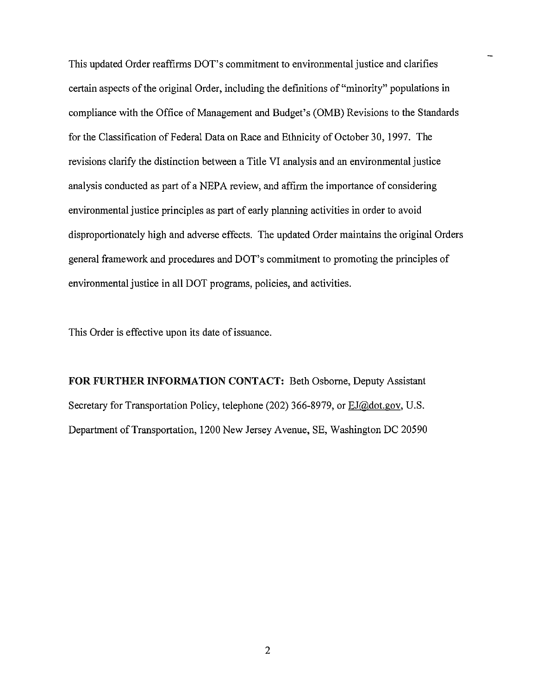This updated Order reaffirms DOT's commitment to environmental justice and clarifies certain aspects of the original Order, including the definitions of"minority" populations in compliance with the Office of Management and Budget's (0MB) Revisions to the Standards for the Classification of Federal Data on Race and Ethnicity of October 30, 1997. The revisions clarify the distinction between a Title VI analysis and an environmental justice analysis conducted as part of a NEPA review, and affirm the importance of considering environmental justice principles as part of early planning activities in order to avoid disproportionately high and adverse effects. The updated Order maintains the original Orders general framework and procedures and DOT's commitment to promoting the principles of environmental justice in all DOT programs, policies, and activities.

This Order is effective upon its date of issuance.

**FOR FURTHER INFORMATION CONTACT:** Beth Osborne, Deputy Assistant Secretary for Transportation Policy, telephone (202) 366-8979, or EJ@dot.gov, U.S. Department of Transportation, 1200 New Jersey Avenue, SE, Washington DC 20590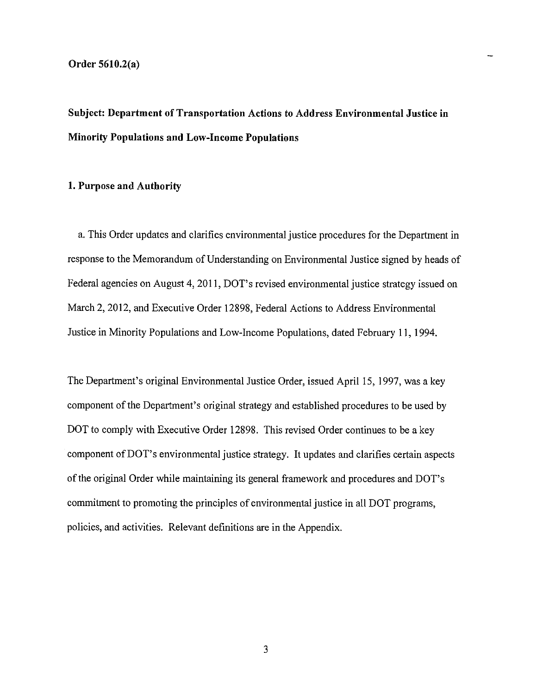**Subject: Department of Transportation Actions to Address Environmental Justice in Minority Populations and Low-Income Populations** 

#### **1. Purpose and Authority**

a. This Order updates and clarifies environmental justice procedures for the Department in response to the Memorandum of Understanding on Environmental Justice signed by heads of Federal agencies on August 4, 2011, DOT's revised environmental justice strategy issued on March 2, 2012, and Executive Order 12898, Federal Actions to Address Environmental Justice in Minority Populations and Low-Income Populations, dated February 11, 1994.

The Department's original Environmental Justice Order, issued April 15, 1997, was a key component of the Department's original strategy and established procedures to be used by DOT to comply with Executive Order 12898. This revised Order continues to be a key component of DOT's environmental justice strategy. It updates and clarifies certain aspects of the original Order while maintaining its general framework and procedures and DOT's commitment to promoting the principles of environmental justice in all DOT programs, policies, and activities. Relevant definitions are in the Appendix.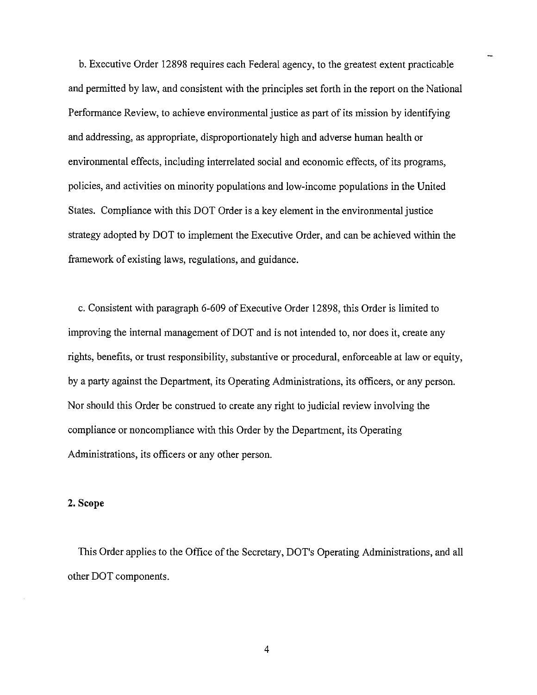b. Executive Order 12898 requires each Federal agency, to the greatest extent practicable and permitted by law, and consistent with the principles set forth in the report on the National Performance Review, to achieve environmental justice as part of its mission by identifying and addressing, as appropriate, disproportionately high and adverse human health or environmental effects, including interrelated social and economic effects, of its programs, policies, and activities on minority populations and low-income populations in the United States. Compliance with this DOT Order is a key element in the environmental justice strategy adopted by DOT to implement the Executive Order, and can be achieved within the framework of existing laws, regulations, and guidance.

c. Consistent with paragraph 6-609 of Executive Order 12898, this Order is limited to improving the internal management of DOT and is not intended to, nor does it, create any rights, benefits, or trust responsibility, substantive or procedural, enforceable at law or equity, by a party against the Department, its Operating Administrations, its officers, or any person. Nor should this Order be construed to create any right to judicial review involving the compliance or noncompliance with this Order by the Department, its Operating Administrations, its officers or any other person.

#### **2.Scope**

This Order applies to the Office of the Secretary, DOT's Operating Administrations, and all other DOT components.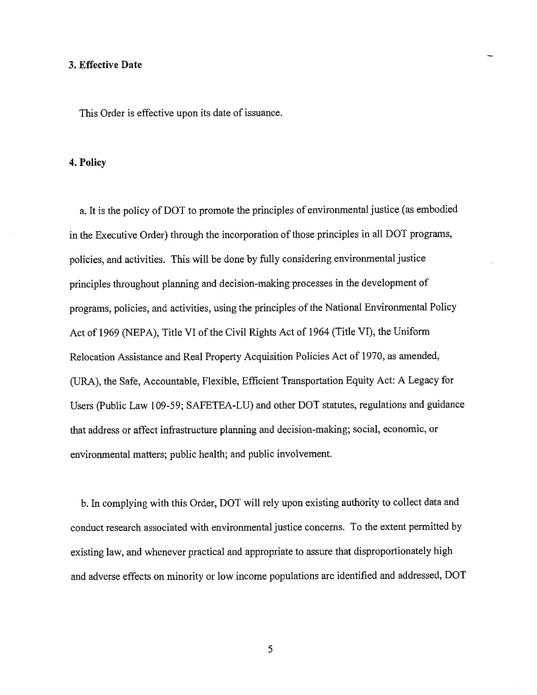#### **3. Effective Date**

This Order is effective upon its date of issuance.

#### **4. Policy**

a. It is the policy of DOT to promote the principles of environmental justice (as embodied in the Executive Order) through the incorporation of those principles in all DOT programs, policies, and activities. This will be done by fully considering environmental justice principles throughout planning and decision-making processes in the development of programs, policies, and activities, using the principles of the National Environmental Policy Act of 1969 (NEPA), Title VI of the Civil Rights Act of 1964 (Title VI), the Uniform Relocation Assistance and Real Property Acquisition Policies Act of 1970, as amended, (URA), the Safe, Accountable, Flexible, Efficient Transportation Equity Act: A Legacy for Users (Public Law 109-59; SAFETEA-LU) and other DOT statutes, regulations and guidance that address or affect infrastructure planning and decision-making; social, economic, or environmental matters; public health; and public involvement.

b. In complying with this Order, DOT will rely upon existing authority to collect data and conduct research associated with environmental justice concerns. To the extent permitted by existing law, and whenever practical and appropriate to assure that disproportionately high and adverse effects on minority or low income populations are identified and addressed, DOT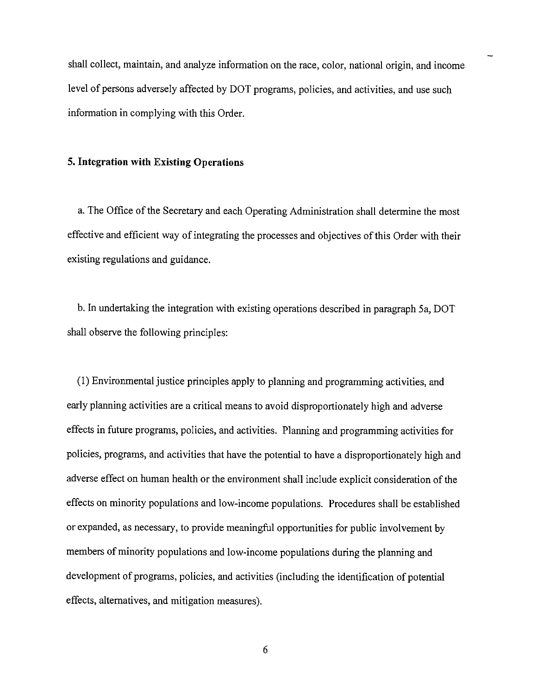shall collect, maintain, and analyze information on the race, color, national origin, and income level of persons adversely affected by DOT programs, policies, and activities, and use such information in complying with this Order.

# **5. Integration with Existing Operations**

a. The Office of the Secretary and each Operating Administration shall determine the most effective and efficient way of integrating the processes and objectives of this Order with their existing regulations and guidance.

b. In undertaking the integration with existing operations described in paragraph Sa, DOT shall observe the following principles:

(1) Environmental justice principles apply to planning and programming activities, and early planning activities are a critical means to avoid disproportionately high and adverse effects in future programs, policies, and activities. Planning and programming activities for policies, programs, and activities that have the potential to have a disproportionately high and adverse effect on human health or the environment shall include explicit consideration of the effects on minority populations and low-income populations. Procedures shall be established or expanded, as necessary, to provide meaningful opportunities for public involvement by members of minority populations and low-income populations during the planning and development of programs, policies, and activities (including the identification of potential effects, alternatives, and mitigation measures).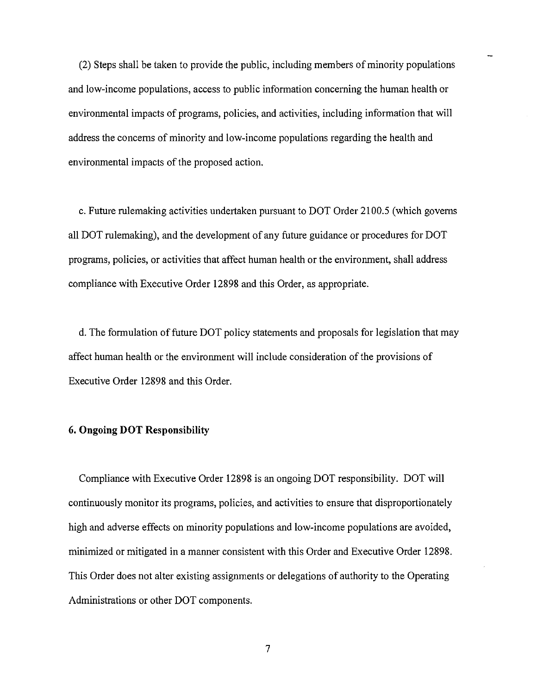(2) Steps shall be taken to provide the public, including members of minority populations and low-income populations, access to public information concerning the human health or environmental impacts of programs, policies, and activities, including information that will address the concerns of minority and low-income populations regarding the health and environmental impacts of the proposed action.

c. Future rulemaking activities undertaken pursuant to DOT Order 2100.5 (which governs all DOT rulemaking), and the development of any future guidance or procedures for DOT programs, policies, or activities that affect human health or the environment, shall address compliance with Executive Order 12898 and this Order, as appropriate.

d. The formulation of future DOT policy statements and proposals for legislation that may affect human health or the environment will include consideration of the provisions of Executive Order 12898 and this Order.

# **6. Ongoing DOT Responsibility**

Compliance with Executive Order 12898 is an ongoing DOT responsibility. DOT will continuously monitor its programs, policies, and activities to ensure that disproportionately high and adverse effects on minority populations and low-income populations are avoided, minimized or mitigated in a manner consistent with this Order and Executive Order 12898. This Order does not alter existing assignments or delegations of authority to the Operating Administrations or other DOT components.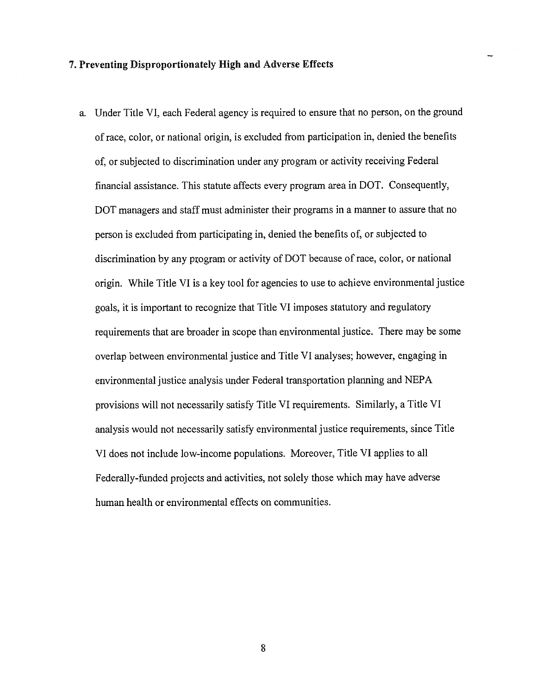# **7. Preventing Disproportionately High and Adverse Effects**

a. Under Title VI, each Federal agency is required to ensure that no person, on the ground of race, color, or national origin, is excluded from participation in, denied the benefits of, or subjected to discrimination under any program or activity receiving Federal financial assistance. This statute affects every program area in DOT. Consequently, DOT managers and staff must administer their programs in a manner to assure that no person is excluded from participating in, denied the benefits of, or subjected to discrimination by any program or activity of DOT because of race, color, or national origin. While Title VI is a key tool for agencies to use to achieve environmental justice goals, it is important to recognize that Title VI imposes statutory and regulatory requirements that are broader in scope than environmental justice. There may be some overlap between environmental justice and Title VI analyses; however, engaging in environmental justice analysis under Federal transportation planning and NEPA provisions will not necessarily satisfy Title VI requirements. Similarly, a Title VI analysis would not necessarily satisfy environmental justice requirements, since Title VI does not include low-income populations. Moreover, Title VI applies to all Federally-funded projects and activities, not solely those which may have adverse human health or environmental effects on communities.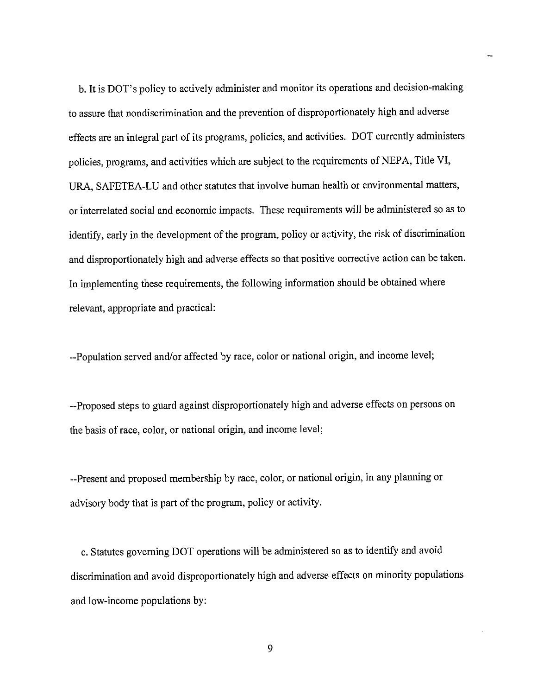b. It is DOT's policy to actively administer and monitor its operations and decision-making to assure that nondiscrimination and the prevention of disproportionately high and adverse effects are an integral part of its programs, policies, and activities. DOT currently administers policies, programs, and activities which are subject to the requirements of NEPA, Title VI, URA, SAFETEA-LU and other statutes that involve human health or environmental matters, or interrelated social and economic impacts. These requirements will be administered so as to identify, early in the development of the program, policy or activity, the risk of discrimination and disproportionately high and adverse effects so that positive corrective action can be taken. In implementing these requirements, the following information should be obtained where relevant, appropriate and practical:

--Population served and/or affected by race, color or national origin, and income level;

--Proposed steps to guard against disproportionately high and adverse effects on persons on the basis of race, color, or national origin, and income level;

--Present and proposed membership by race, color, or national origin, in any planning or advisory body that is part of the program, policy or activity.

c. Statutes governing DOT operations will be administered so as to identify and avoid discrimination and avoid disproportionately high and adverse effects on minority populations and low-income populations by: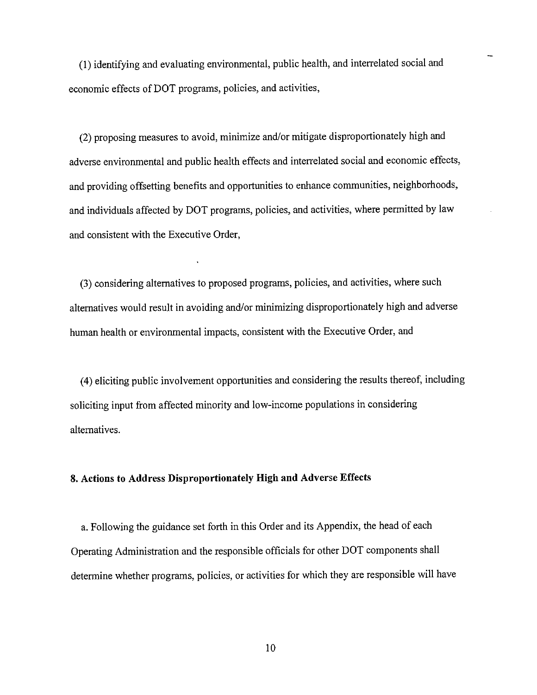(!) identifying and evaluating environmental, public health, and interrelated social and economic effects of DOT programs, policies, and activities,

(2) proposing measures to avoid, minimize and/or mitigate disproportionately high and adverse environmental and public health effects and interrelated social and economic effects, and providing offsetting benefits and opportunities to enhance communities, neighborhoods, and individuals affected by DOT programs, policies, and activities, where permitted by law and consistent with the Executive Order,

(3) considering alternatives to proposed programs, policies, and activities, where such alternatives would result in avoiding and/or minimizing disproportionately high and adverse human health or environmental impacts, consistent with the Executive Order, and

(4) eliciting public involvement opportunities and considering the results thereof, including soliciting input from affected minority and low-income populations in considering alternatives.

### **8. Actions to Address Disproportionately High and Adverse Effects**

a. Following the guidance set forth in this Order and its Appendix, the head of each Operating Administration and the responsible officials for other DOT components shall determine whether programs, policies, or activities for which they are responsible will have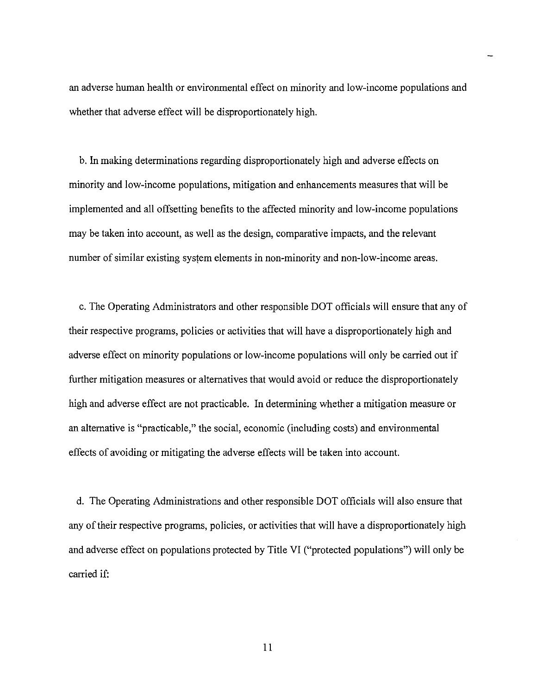an adverse human health or environmental effect on minority and low-income populations and whether that adverse effect will be disproportionately high.

b. In making determinations regarding disproportionately high and adverse effects on minority and low-income populations, mitigation and enhancements measures that will be implemented and all offsetting benefits to the affected minority and low-income populations may be taken into account, as well as the design, comparative impacts, and the relevant number of similar existing system elements in non-minority and non-low-income areas.

c. The Operating Administrators and other responsible DOT officials will ensure that any of their respective programs, policies or activities that will have a disproportionately high and adverse effect on minority populations or low-income populations will only be carried out if further mitigation measures or alternatives that would avoid or reduce the disproportionately high and adverse effect are not practicable. In determining whether a mitigation measure or an alternative is "practicable," the social, economic (including costs) and environmental effects of avoiding or mitigating the adverse effects will be taken into account.

d. The Operating Administrations and other responsible DOT officials will also ensure that any of their respective programs, policies, or activities that will have a disproportionately high and adverse effect on populations protected by Title VI ("protected populations") will only be carried if:

II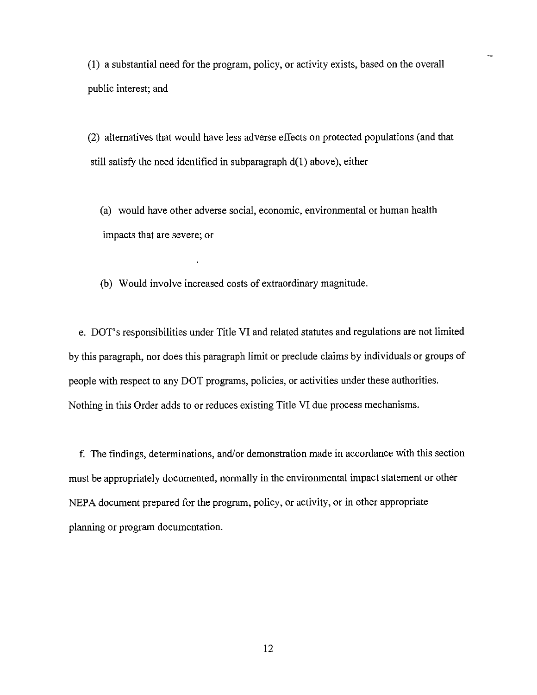(I) a substantial need for the program, policy, or activity exists, based on the overall public interest; and

(2) alternatives that would have less adverse effects on protected populations (and that still satisfy the need identified in subparagraph  $d(1)$  above), either

(a) would have other adverse social, economic, environmental or human health impacts that are severe; or

(b) Would involve increased costs of extraordinary magnitude.

e. DOT's responsibilities under Title VI and related statutes and regulations are not limited by this paragraph, nor does this paragraph limit or preclude claims by individuals or groups of people with respect to any DOT programs, policies, or activities under these authorities. Nothing in this Order adds to or reduces existing Title VI due process mechanisms.

f. The findings, determinations, and/or demonstration made in accordance with this section must be appropriately documented, normally in the environmental impact statement or other NEPA document prepared for the program, policy, or activity, or in other appropriate planning or program documentation.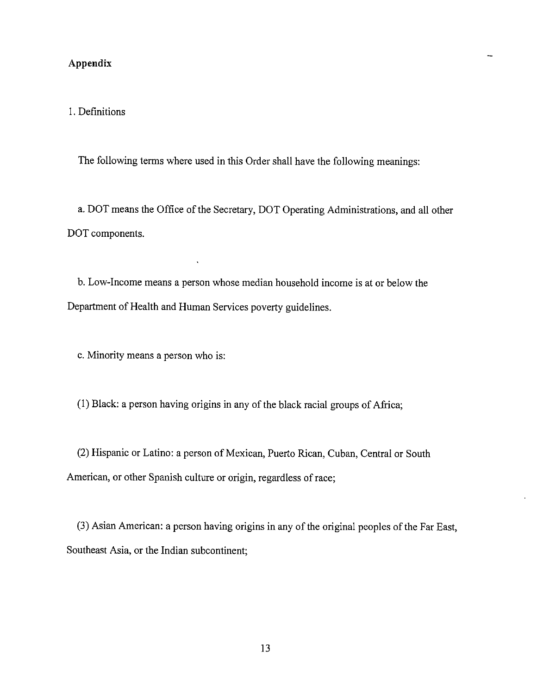# **Appendix**

# 1. Definitions

The following terms where used in this Order shall have the following meanings:

a. DOT means the Office of the Secretary, DOT Operating Administrations, and all other DOT components.

b. Low-Income means a person whose median household income is at or below the Department of Health and Human Services poverty guidelines.

c. Minority means a person who is:

(1) Black: a person having origins in any of the black racial groups of Africa;

(2) Hispanic or Latino: a person of Mexican, Puerto Rican, Cuban, Central or South American, or other Spanish culture or origin, regardless of race;

(3) Asian American: a person having origins in any of the original peoples of the Far East, Southeast Asia, or the Indian subcontinent;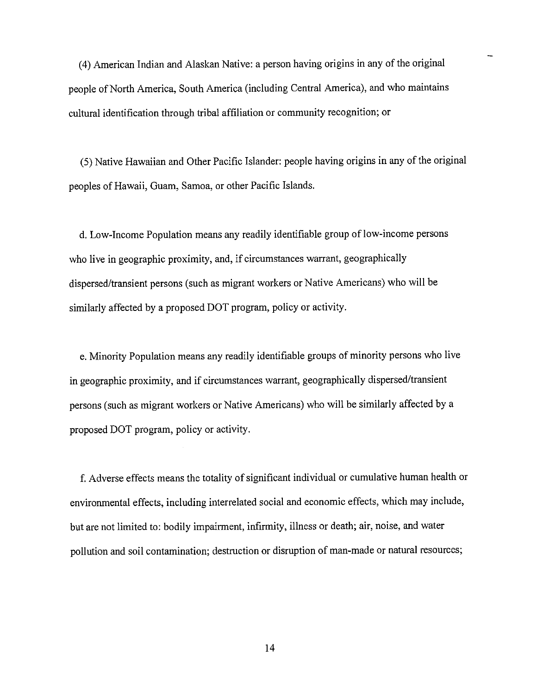( 4) American Indian and Alaskan Native: a person having origins in any of the original people of North America, South America (including Central America), and who maintains cultural identification through tribal affiliation or community recognition; or

(5) Native Hawaiian and Other Pacific Islander: people having origins in any of the original peoples of Hawaii, Guam, Samoa, or other Pacific Islands.

d. Low-Income Population means any readily identifiable group of low-income persons who live in geographic proximity, and, if circumstances warrant, geographically dispersed/transient persons (such as migrant workers or Native Americans) who will be similarly affected by a proposed DOT program, policy or activity.

e. Minority Population means any readily identifiable groups of minority persons who live in geographic proximity, and if circumstances warrant, geographically dispersed/transient persons (such as migrant workers or Native Americans) who will be similarly affected by a proposed DOT program, policy or activity.

f. Adverse effects means the totality of significant individual or cumulative human health or environmental effects, including interrelated social and economic effects, which may include, but are not limited to: bodily impairment, infirmity, illness or death; air, noise, and water pollution and soil contamination; destruction or disruption of man-made or natural resources;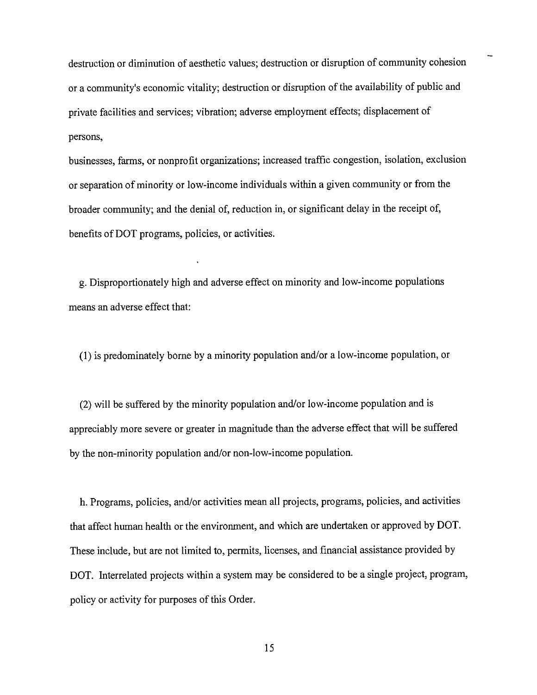destruction or diminution of aesthetic values; destruction or disruption of community cohesion or a community's economic vitality; destruction or disruption of the availability of public and private facilities and services; vibration; adverse employment effects; displacement of persons,

businesses, farms, or nonprofit organizations; increased traffic congestion, isolation, exclusion or separation of minority or low-income individuals within a given community or from the broader community; and the denial of, reduction in, or significant delay in the receipt of, benefits of DOT programs, policies, or activities.

g. Disproportionately high and adverse effect on minority and low-income populations means an adverse effect that:

(I) is predominately borne by a minority population and/or a low-income population, or

(2) will be suffered by the minority population and/or low-income population and is appreciably more severe or greater in magnitude than the adverse effect that will be suffered by the non-minority population and/or non-low-income population.

h. Programs, policies, and/or activities mean all projects, programs, policies, and activities that affect human health or the environment, and which are undertaken or approved by DOT. These include, but are not limited to, permits, licenses, and financial assistance provided by DOT. Interrelated projects within a system may be considered to be a single project, program, policy or activity for purposes of this Order.